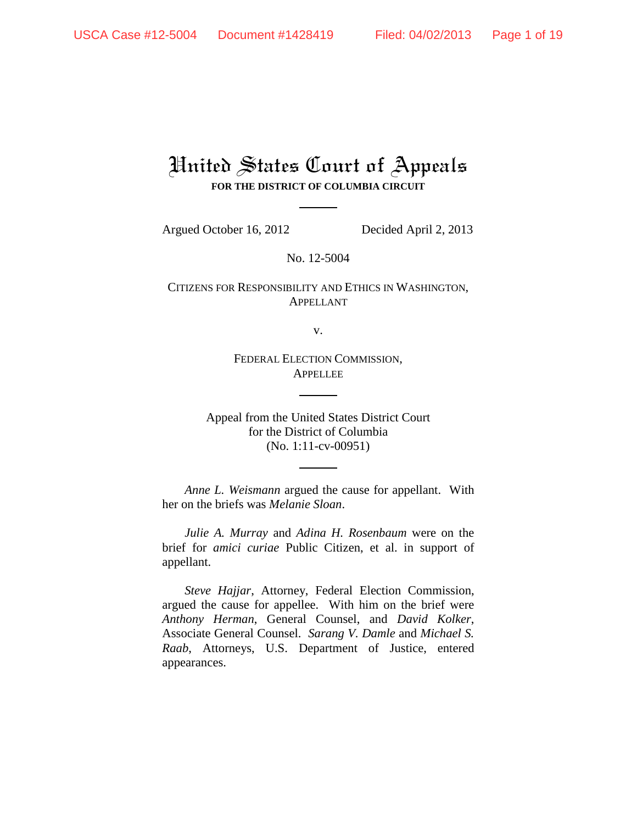## United States Court of Appeals **FOR THE DISTRICT OF COLUMBIA CIRCUIT**

Argued October 16, 2012 Decided April 2, 2013

No. 12-5004

CITIZENS FOR RESPONSIBILITY AND ETHICS IN WASHINGTON, APPELLANT

v.

FEDERAL ELECTION COMMISSION, **APPELLEE** 

Appeal from the United States District Court for the District of Columbia (No. 1:11-cv-00951)

*Anne L. Weismann* argued the cause for appellant. With her on the briefs was *Melanie Sloan*.

*Julie A. Murray* and *Adina H. Rosenbaum* were on the brief for *amici curiae* Public Citizen, et al. in support of appellant.

*Steve Hajjar*, Attorney, Federal Election Commission, argued the cause for appellee. With him on the brief were *Anthony Herman*, General Counsel, and *David Kolker*, Associate General Counsel. *Sarang V. Damle* and *Michael S. Raab*, Attorneys, U.S. Department of Justice, entered appearances.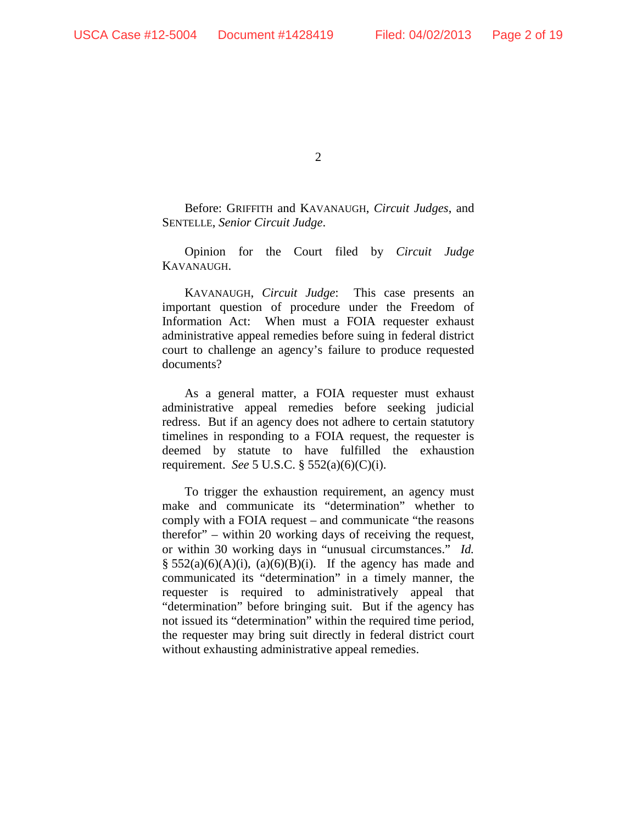$\mathcal{L}$ 

Before: GRIFFITH and KAVANAUGH, *Circuit Judges*, and SENTELLE, *Senior Circuit Judge*.

Opinion for the Court filed by *Circuit Judge* KAVANAUGH.

KAVANAUGH, *Circuit Judge*: This case presents an important question of procedure under the Freedom of Information Act: When must a FOIA requester exhaust administrative appeal remedies before suing in federal district court to challenge an agency's failure to produce requested documents?

As a general matter, a FOIA requester must exhaust administrative appeal remedies before seeking judicial redress. But if an agency does not adhere to certain statutory timelines in responding to a FOIA request, the requester is deemed by statute to have fulfilled the exhaustion requirement. *See* 5 U.S.C. § 552(a)(6)(C)(i).

To trigger the exhaustion requirement, an agency must make and communicate its "determination" whether to comply with a FOIA request – and communicate "the reasons therefor" – within 20 working days of receiving the request, or within 30 working days in "unusual circumstances." *Id.*  $\S$  552(a)(6)(A)(i), (a)(6)(B)(i). If the agency has made and communicated its "determination" in a timely manner, the requester is required to administratively appeal that "determination" before bringing suit. But if the agency has not issued its "determination" within the required time period, the requester may bring suit directly in federal district court without exhausting administrative appeal remedies.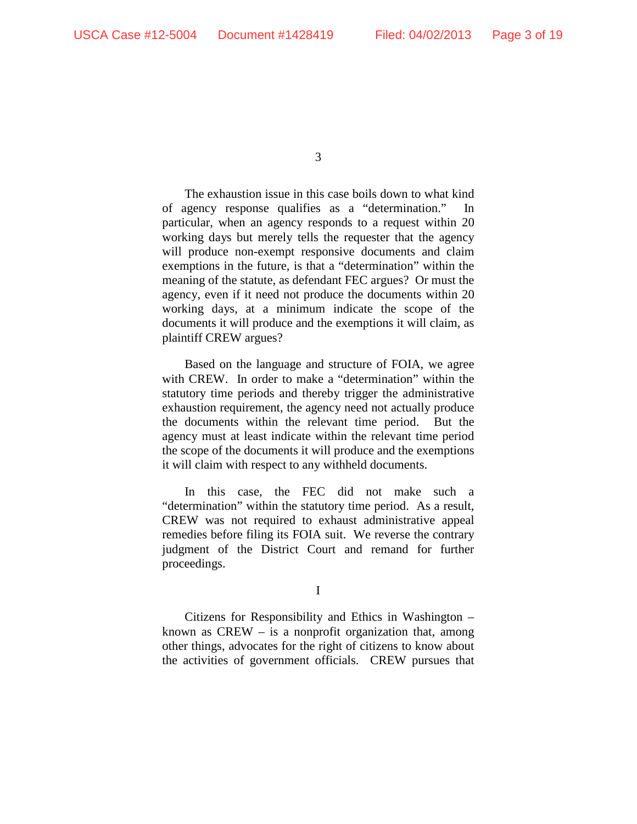The exhaustion issue in this case boils down to what kind of agency response qualifies as a "determination." In particular, when an agency responds to a request within 20 working days but merely tells the requester that the agency will produce non-exempt responsive documents and claim exemptions in the future, is that a "determination" within the meaning of the statute, as defendant FEC argues? Or must the agency, even if it need not produce the documents within 20 working days, at a minimum indicate the scope of the documents it will produce and the exemptions it will claim, as plaintiff CREW argues?

Based on the language and structure of FOIA, we agree with CREW. In order to make a "determination" within the statutory time periods and thereby trigger the administrative exhaustion requirement, the agency need not actually produce the documents within the relevant time period. But the agency must at least indicate within the relevant time period the scope of the documents it will produce and the exemptions it will claim with respect to any withheld documents.

In this case, the FEC did not make such a "determination" within the statutory time period. As a result, CREW was not required to exhaust administrative appeal remedies before filing its FOIA suit. We reverse the contrary judgment of the District Court and remand for further proceedings.

I

Citizens for Responsibility and Ethics in Washington – known as  $CREW - is a nonprofit organization that, among$ other things, advocates for the right of citizens to know about the activities of government officials. CREW pursues that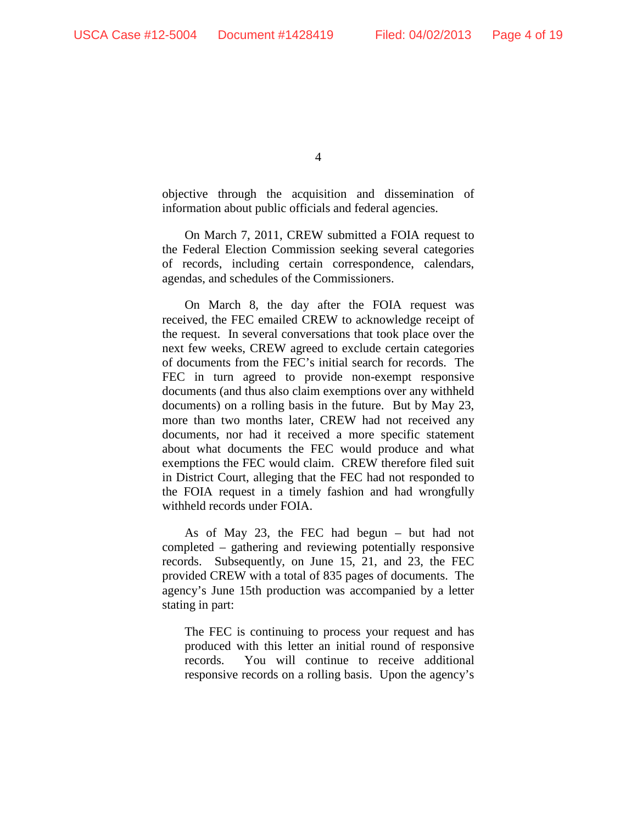objective through the acquisition and dissemination of information about public officials and federal agencies.

On March 7, 2011, CREW submitted a FOIA request to the Federal Election Commission seeking several categories of records, including certain correspondence, calendars, agendas, and schedules of the Commissioners.

On March 8, the day after the FOIA request was received, the FEC emailed CREW to acknowledge receipt of the request. In several conversations that took place over the next few weeks, CREW agreed to exclude certain categories of documents from the FEC's initial search for records. The FEC in turn agreed to provide non-exempt responsive documents (and thus also claim exemptions over any withheld documents) on a rolling basis in the future. But by May 23, more than two months later, CREW had not received any documents, nor had it received a more specific statement about what documents the FEC would produce and what exemptions the FEC would claim. CREW therefore filed suit in District Court, alleging that the FEC had not responded to the FOIA request in a timely fashion and had wrongfully withheld records under FOIA.

As of May 23, the FEC had begun – but had not completed – gathering and reviewing potentially responsive records. Subsequently, on June 15, 21, and 23, the FEC provided CREW with a total of 835 pages of documents. The agency's June 15th production was accompanied by a letter stating in part:

The FEC is continuing to process your request and has produced with this letter an initial round of responsive records. You will continue to receive additional responsive records on a rolling basis. Upon the agency's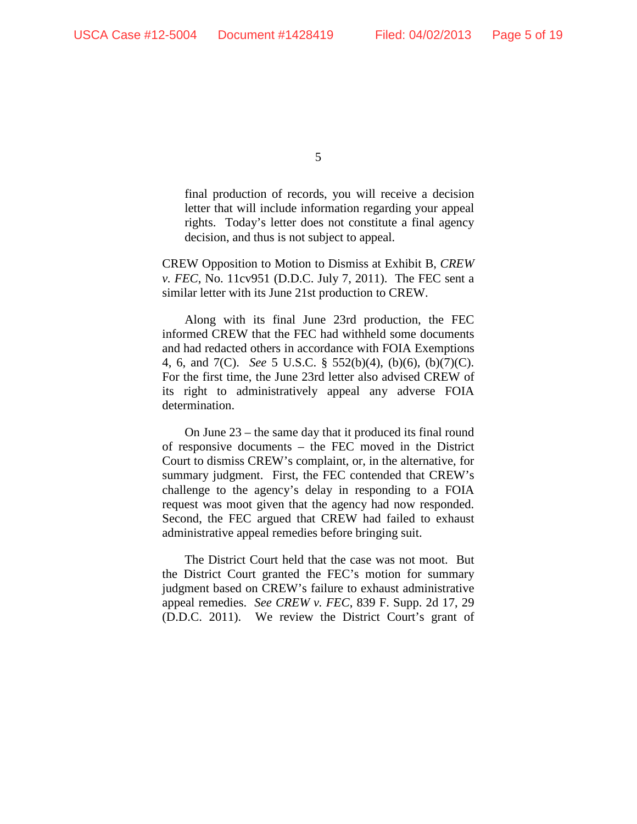final production of records, you will receive a decision letter that will include information regarding your appeal rights. Today's letter does not constitute a final agency decision, and thus is not subject to appeal.

CREW Opposition to Motion to Dismiss at Exhibit B, *CREW v. FEC*, No. 11cv951 (D.D.C. July 7, 2011). The FEC sent a similar letter with its June 21st production to CREW.

Along with its final June 23rd production, the FEC informed CREW that the FEC had withheld some documents and had redacted others in accordance with FOIA Exemptions 4, 6, and 7(C). *See* 5 U.S.C. § 552(b)(4), (b)(6), (b)(7)(C). For the first time, the June 23rd letter also advised CREW of its right to administratively appeal any adverse FOIA determination.

On June 23 – the same day that it produced its final round of responsive documents – the FEC moved in the District Court to dismiss CREW's complaint, or, in the alternative, for summary judgment. First, the FEC contended that CREW's challenge to the agency's delay in responding to a FOIA request was moot given that the agency had now responded. Second, the FEC argued that CREW had failed to exhaust administrative appeal remedies before bringing suit.

The District Court held that the case was not moot. But the District Court granted the FEC's motion for summary judgment based on CREW's failure to exhaust administrative appeal remedies. *See CREW v. FEC*, 839 F. Supp. 2d 17, 29 (D.D.C. 2011). We review the District Court's grant of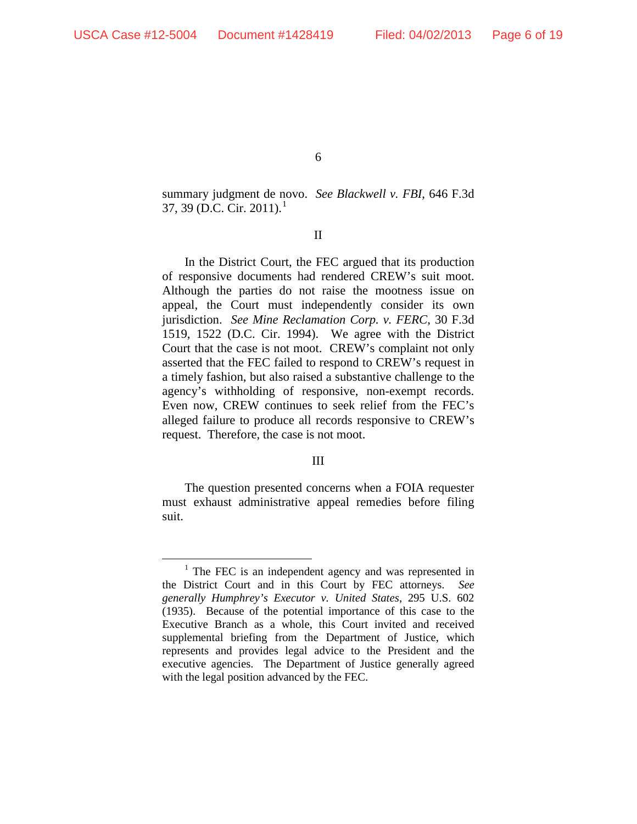summary judgment de novo. *See Blackwell v. FBI*, 646 F.3d 37, 39 (D.C. Cir. 20[1](#page-5-0)1).<sup>1</sup>

II

In the District Court, the FEC argued that its production of responsive documents had rendered CREW's suit moot. Although the parties do not raise the mootness issue on appeal, the Court must independently consider its own jurisdiction. *See Mine Reclamation Corp. v. FERC*, 30 F.3d 1519, 1522 (D.C. Cir. 1994). We agree with the District Court that the case is not moot. CREW's complaint not only asserted that the FEC failed to respond to CREW's request in a timely fashion, but also raised a substantive challenge to the agency's withholding of responsive, non-exempt records. Even now, CREW continues to seek relief from the FEC's alleged failure to produce all records responsive to CREW's request. Therefore, the case is not moot.

## III

The question presented concerns when a FOIA requester must exhaust administrative appeal remedies before filing suit.

<span id="page-5-0"></span> $1$  The FEC is an independent agency and was represented in the District Court and in this Court by FEC attorneys. *See generally Humphrey's Executor v. United States*, 295 U.S. 602 (1935). Because of the potential importance of this case to the Executive Branch as a whole, this Court invited and received supplemental briefing from the Department of Justice, which represents and provides legal advice to the President and the executive agencies. The Department of Justice generally agreed with the legal position advanced by the FEC.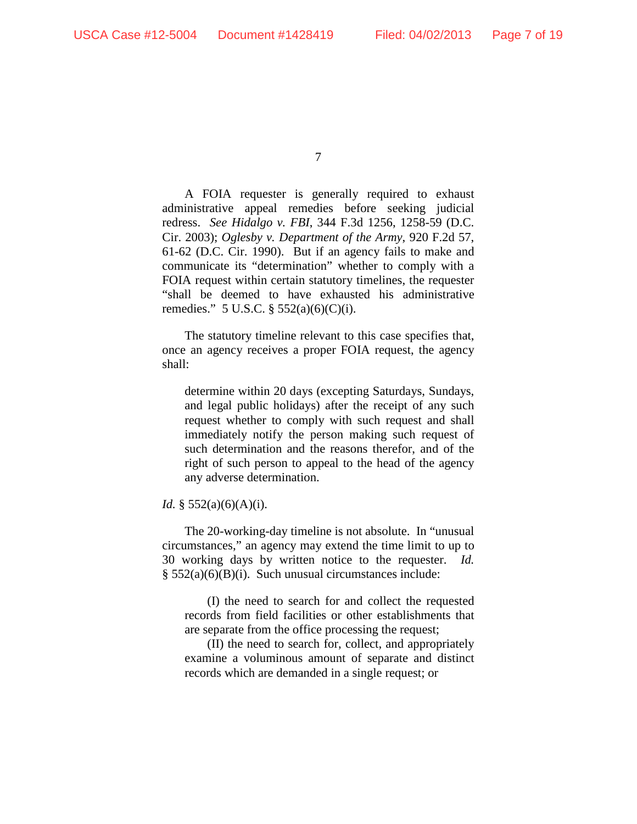A FOIA requester is generally required to exhaust administrative appeal remedies before seeking judicial redress. *See Hidalgo v. FBI*, 344 F.3d 1256, 1258-59 (D.C. Cir. 2003); *Oglesby v. Department of the Army*, 920 F.2d 57, 61-62 (D.C. Cir. 1990). But if an agency fails to make and communicate its "determination" whether to comply with a FOIA request within certain statutory timelines, the requester "shall be deemed to have exhausted his administrative remedies." 5 U.S.C.  $\S 552(a)(6)(C)(i)$ .

The statutory timeline relevant to this case specifies that, once an agency receives a proper FOIA request, the agency shall:

determine within 20 days (excepting Saturdays, Sundays, and legal public holidays) after the receipt of any such request whether to comply with such request and shall immediately notify the person making such request of such determination and the reasons therefor, and of the right of such person to appeal to the head of the agency any adverse determination.

## *Id.* § 552(a)(6)(A)(i).

The 20-working-day timeline is not absolute. In "unusual circumstances," an agency may extend the time limit to up to 30 working days by written notice to the requester. *Id.* § 552(a)(6)(B)(i). Such unusual circumstances include:

(I) the need to search for and collect the requested records from field facilities or other establishments that are separate from the office processing the request;

(II) the need to search for, collect, and appropriately examine a voluminous amount of separate and distinct records which are demanded in a single request; or

<sup>7</sup>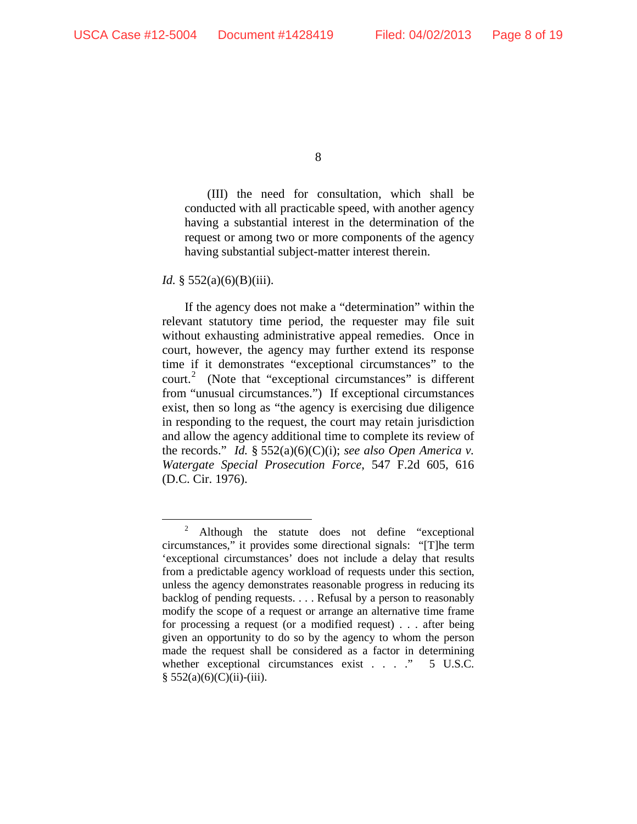(III) the need for consultation, which shall be conducted with all practicable speed, with another agency having a substantial interest in the determination of the request or among two or more components of the agency having substantial subject-matter interest therein.

*Id.* § 552(a)(6)(B)(iii).

If the agency does not make a "determination" within the relevant statutory time period, the requester may file suit without exhausting administrative appeal remedies. Once in court, however, the agency may further extend its response time if it demonstrates "exceptional circumstances" to the court. [2](#page-7-0) (Note that "exceptional circumstances" is different from "unusual circumstances.") If exceptional circumstances exist, then so long as "the agency is exercising due diligence in responding to the request, the court may retain jurisdiction and allow the agency additional time to complete its review of the records." *Id.* § 552(a)(6)(C)(i); *see also Open America v. Watergate Special Prosecution Force*, 547 F.2d 605, 616 (D.C. Cir. 1976).

<span id="page-7-0"></span><sup>&</sup>lt;sup>2</sup> Although the statute does not define "exceptional circumstances," it provides some directional signals: "[T]he term 'exceptional circumstances' does not include a delay that results from a predictable agency workload of requests under this section, unless the agency demonstrates reasonable progress in reducing its backlog of pending requests. . . . Refusal by a person to reasonably modify the scope of a request or arrange an alternative time frame for processing a request (or a modified request) . . . after being given an opportunity to do so by the agency to whom the person made the request shall be considered as a factor in determining whether exceptional circumstances exist . . . . " 5 U.S.C.  $§ 552(a)(6)(C)(ii)-(iii).$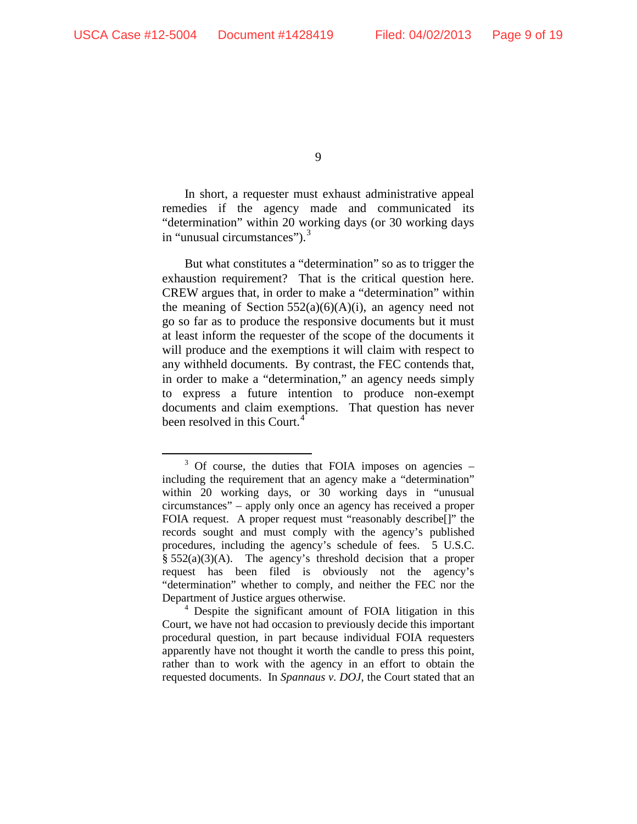In short, a requester must exhaust administrative appeal remedies if the agency made and communicated its "determination" within 20 working days (or 30 working days in "unusual circumstances").<sup>[3](#page-8-0)</sup>

But what constitutes a "determination" so as to trigger the exhaustion requirement? That is the critical question here. CREW argues that, in order to make a "determination" within the meaning of Section  $552(a)(6)(A)(i)$ , an agency need not go so far as to produce the responsive documents but it must at least inform the requester of the scope of the documents it will produce and the exemptions it will claim with respect to any withheld documents. By contrast, the FEC contends that, in order to make a "determination," an agency needs simply to express a future intention to produce non-exempt documents and claim exemptions. That question has never been resolved in this Court.<sup>[4](#page-8-1)</sup>

<span id="page-8-0"></span> $3$  Of course, the duties that FOIA imposes on agencies  $$ including the requirement that an agency make a "determination" within 20 working days, or 30 working days in "unusual circumstances" – apply only once an agency has received a proper FOIA request. A proper request must "reasonably describe[]" the records sought and must comply with the agency's published procedures, including the agency's schedule of fees. 5 U.S.C.  $§$  552(a)(3)(A). The agency's threshold decision that a proper request has been filed is obviously not the agency's "determination" whether to comply, and neither the FEC nor the Department of Justice argues otherwise.

<span id="page-8-1"></span><sup>4</sup> Despite the significant amount of FOIA litigation in this Court, we have not had occasion to previously decide this important procedural question, in part because individual FOIA requesters apparently have not thought it worth the candle to press this point, rather than to work with the agency in an effort to obtain the requested documents. In *Spannaus v. DOJ*, the Court stated that an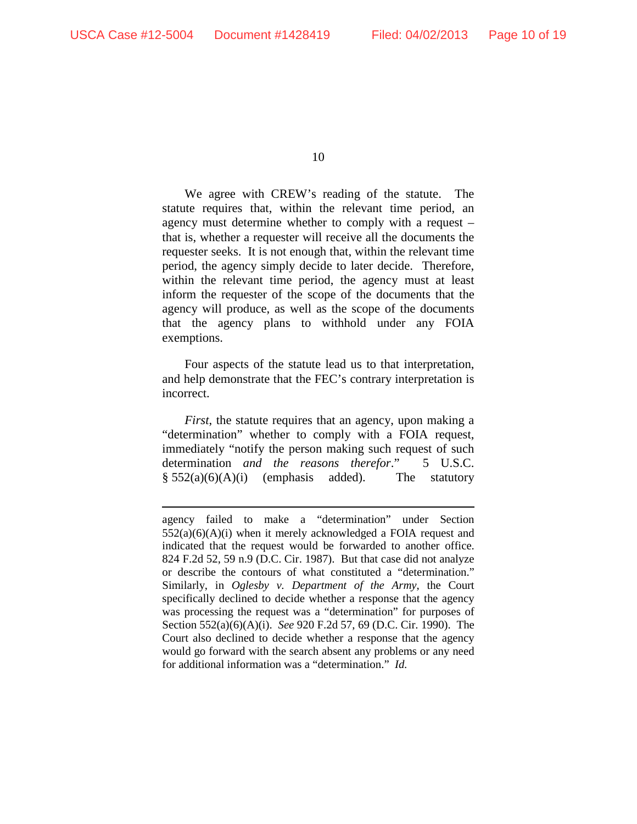$\overline{a}$ 

10

We agree with CREW's reading of the statute. The statute requires that, within the relevant time period, an agency must determine whether to comply with a request – that is, whether a requester will receive all the documents the requester seeks. It is not enough that, within the relevant time period, the agency simply decide to later decide. Therefore, within the relevant time period, the agency must at least inform the requester of the scope of the documents that the agency will produce, as well as the scope of the documents that the agency plans to withhold under any FOIA exemptions.

Four aspects of the statute lead us to that interpretation, and help demonstrate that the FEC's contrary interpretation is incorrect.

*First*, the statute requires that an agency, upon making a "determination" whether to comply with a FOIA request, immediately "notify the person making such request of such determination *and the reasons therefor*." 5 U.S.C.  $§ 552(a)(6)(A)(i)$  (emphasis added). The statutory

agency failed to make a "determination" under Section  $552(a)(6)(A)(i)$  when it merely acknowledged a FOIA request and indicated that the request would be forwarded to another office. 824 F.2d 52, 59 n.9 (D.C. Cir. 1987). But that case did not analyze or describe the contours of what constituted a "determination." Similarly, in *Oglesby v. Department of the Army*, the Court specifically declined to decide whether a response that the agency was processing the request was a "determination" for purposes of Section 552(a)(6)(A)(i). *See* 920 F.2d 57, 69 (D.C. Cir. 1990). The Court also declined to decide whether a response that the agency would go forward with the search absent any problems or any need for additional information was a "determination." *Id.*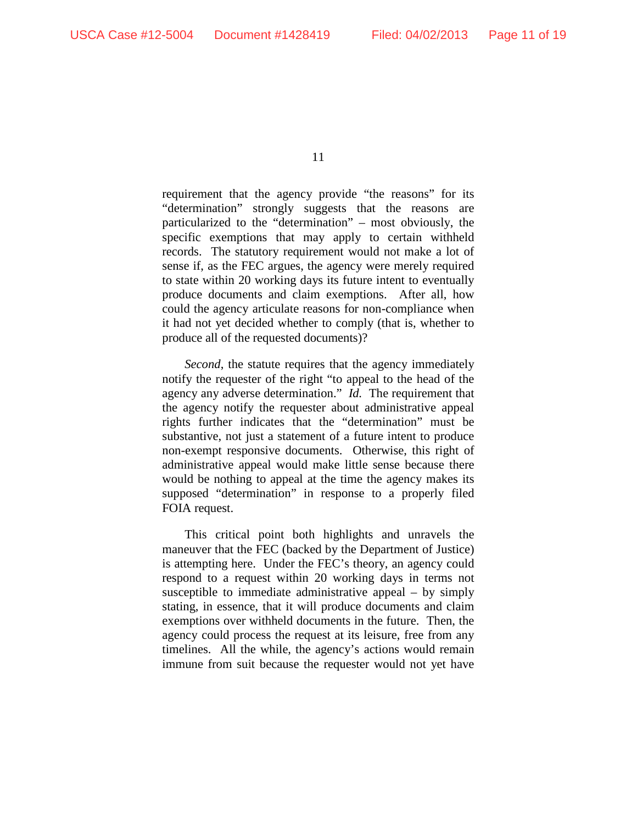requirement that the agency provide "the reasons" for its "determination" strongly suggests that the reasons are particularized to the "determination" – most obviously, the specific exemptions that may apply to certain withheld records. The statutory requirement would not make a lot of sense if, as the FEC argues, the agency were merely required to state within 20 working days its future intent to eventually produce documents and claim exemptions. After all, how could the agency articulate reasons for non-compliance when it had not yet decided whether to comply (that is, whether to produce all of the requested documents)?

*Second*, the statute requires that the agency immediately notify the requester of the right "to appeal to the head of the agency any adverse determination." *Id.* The requirement that the agency notify the requester about administrative appeal rights further indicates that the "determination" must be substantive, not just a statement of a future intent to produce non-exempt responsive documents. Otherwise, this right of administrative appeal would make little sense because there would be nothing to appeal at the time the agency makes its supposed "determination" in response to a properly filed FOIA request.

This critical point both highlights and unravels the maneuver that the FEC (backed by the Department of Justice) is attempting here. Under the FEC's theory, an agency could respond to a request within 20 working days in terms not susceptible to immediate administrative appeal – by simply stating, in essence, that it will produce documents and claim exemptions over withheld documents in the future. Then, the agency could process the request at its leisure, free from any timelines. All the while, the agency's actions would remain immune from suit because the requester would not yet have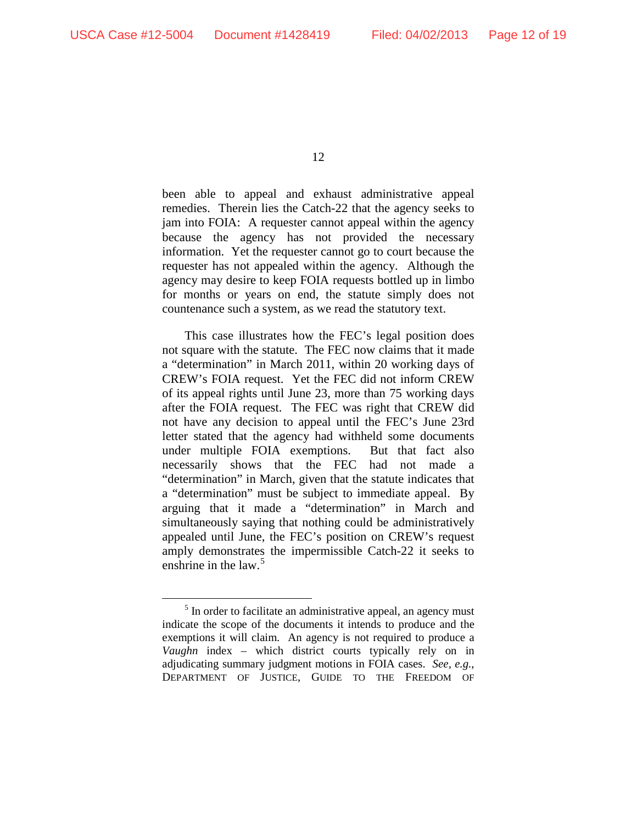been able to appeal and exhaust administrative appeal remedies. Therein lies the Catch-22 that the agency seeks to jam into FOIA: A requester cannot appeal within the agency because the agency has not provided the necessary information. Yet the requester cannot go to court because the requester has not appealed within the agency. Although the agency may desire to keep FOIA requests bottled up in limbo for months or years on end, the statute simply does not countenance such a system, as we read the statutory text.

This case illustrates how the FEC's legal position does not square with the statute. The FEC now claims that it made a "determination" in March 2011, within 20 working days of CREW's FOIA request. Yet the FEC did not inform CREW of its appeal rights until June 23, more than 75 working days after the FOIA request. The FEC was right that CREW did not have any decision to appeal until the FEC's June 23rd letter stated that the agency had withheld some documents under multiple FOIA exemptions. But that fact also necessarily shows that the FEC had not made a "determination" in March, given that the statute indicates that a "determination" must be subject to immediate appeal. By arguing that it made a "determination" in March and simultaneously saying that nothing could be administratively appealed until June, the FEC's position on CREW's request amply demonstrates the impermissible Catch-22 it seeks to enshrine in the law.<sup>[5](#page-11-0)</sup>

<span id="page-11-0"></span><sup>&</sup>lt;sup>5</sup> In order to facilitate an administrative appeal, an agency must indicate the scope of the documents it intends to produce and the exemptions it will claim. An agency is not required to produce a *Vaughn* index – which district courts typically rely on in adjudicating summary judgment motions in FOIA cases. *See, e.g.*, DEPARTMENT OF JUSTICE, GUIDE TO THE FREEDOM OF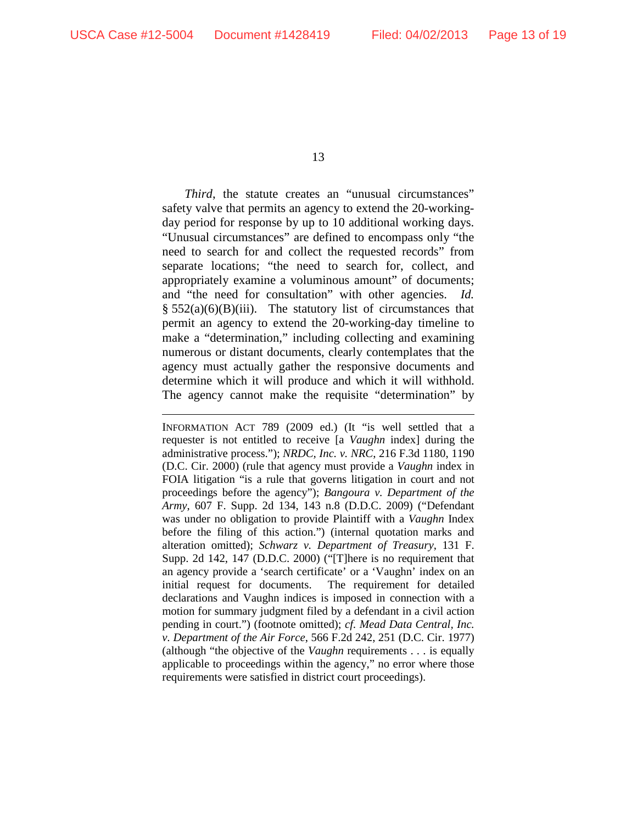$\overline{a}$ 

13

*Third*, the statute creates an "unusual circumstances" safety valve that permits an agency to extend the 20-workingday period for response by up to 10 additional working days. "Unusual circumstances" are defined to encompass only "the need to search for and collect the requested records" from separate locations; "the need to search for, collect, and appropriately examine a voluminous amount" of documents; and "the need for consultation" with other agencies. *Id.*  $§ 552(a)(6)(B)(iii)$ . The statutory list of circumstances that permit an agency to extend the 20-working-day timeline to make a "determination," including collecting and examining numerous or distant documents, clearly contemplates that the agency must actually gather the responsive documents and determine which it will produce and which it will withhold. The agency cannot make the requisite "determination" by

INFORMATION ACT 789 (2009 ed.) (It "is well settled that a requester is not entitled to receive [a *Vaughn* index] during the administrative process."); *NRDC, Inc. v. NRC*, 216 F.3d 1180, 1190 (D.C. Cir. 2000) (rule that agency must provide a *Vaughn* index in FOIA litigation "is a rule that governs litigation in court and not proceedings before the agency"); *Bangoura v. Department of the Army*, 607 F. Supp. 2d 134, 143 n.8 (D.D.C. 2009) ("Defendant was under no obligation to provide Plaintiff with a *Vaughn* Index before the filing of this action.") (internal quotation marks and alteration omitted); *Schwarz v. Department of Treasury*, 131 F. Supp. 2d 142, 147 (D.D.C. 2000) ("[T]here is no requirement that an agency provide a 'search certificate' or a 'Vaughn' index on an initial request for documents. The requirement for detailed declarations and Vaughn indices is imposed in connection with a motion for summary judgment filed by a defendant in a civil action pending in court.") (footnote omitted); *cf. Mead Data Central, Inc. v. Department of the Air Force*, 566 F.2d 242, 251 (D.C. Cir. 1977) (although "the objective of the *Vaughn* requirements . . . is equally applicable to proceedings within the agency," no error where those requirements were satisfied in district court proceedings).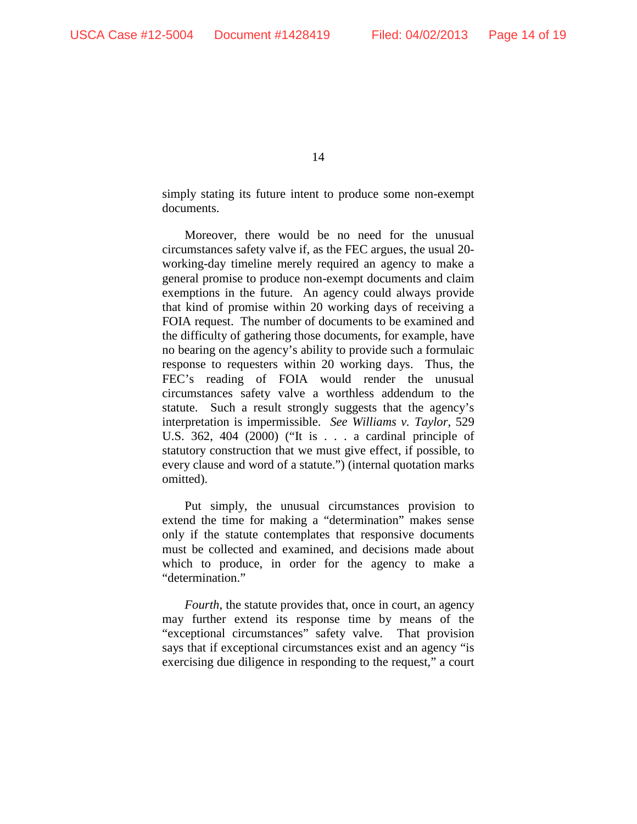simply stating its future intent to produce some non-exempt documents.

Moreover, there would be no need for the unusual circumstances safety valve if, as the FEC argues, the usual 20 working-day timeline merely required an agency to make a general promise to produce non-exempt documents and claim exemptions in the future. An agency could always provide that kind of promise within 20 working days of receiving a FOIA request. The number of documents to be examined and the difficulty of gathering those documents, for example, have no bearing on the agency's ability to provide such a formulaic response to requesters within 20 working days. Thus, the FEC's reading of FOIA would render the unusual circumstances safety valve a worthless addendum to the statute. Such a result strongly suggests that the agency's interpretation is impermissible. *See Williams v. Taylor*, 529 U.S. 362, 404 (2000) ("It is . . . a cardinal principle of statutory construction that we must give effect, if possible, to every clause and word of a statute.") (internal quotation marks omitted).

Put simply, the unusual circumstances provision to extend the time for making a "determination" makes sense only if the statute contemplates that responsive documents must be collected and examined, and decisions made about which to produce, in order for the agency to make a "determination."

*Fourth*, the statute provides that, once in court, an agency may further extend its response time by means of the "exceptional circumstances" safety valve. That provision says that if exceptional circumstances exist and an agency "is exercising due diligence in responding to the request," a court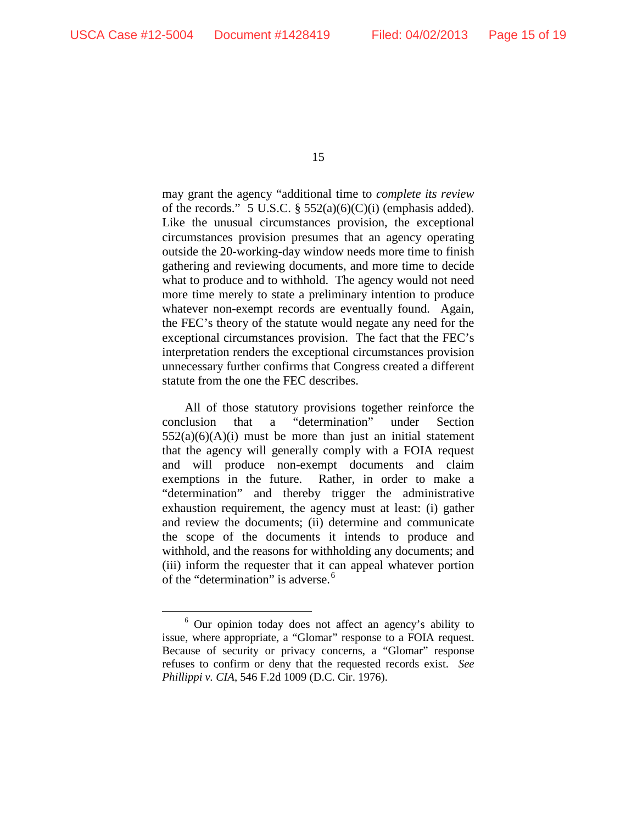may grant the agency "additional time to *complete its review* of the records." 5 U.S.C.  $\S$  552(a)(6)(C)(i) (emphasis added). Like the unusual circumstances provision, the exceptional circumstances provision presumes that an agency operating outside the 20-working-day window needs more time to finish gathering and reviewing documents, and more time to decide what to produce and to withhold. The agency would not need more time merely to state a preliminary intention to produce whatever non-exempt records are eventually found. Again, the FEC's theory of the statute would negate any need for the exceptional circumstances provision. The fact that the FEC's interpretation renders the exceptional circumstances provision unnecessary further confirms that Congress created a different statute from the one the FEC describes.

All of those statutory provisions together reinforce the conclusion that a "determination" under Section  $552(a)(6)(A)(i)$  must be more than just an initial statement that the agency will generally comply with a FOIA request and will produce non-exempt documents and claim exemptions in the future. Rather, in order to make a "determination" and thereby trigger the administrative exhaustion requirement, the agency must at least: (i) gather and review the documents; (ii) determine and communicate the scope of the documents it intends to produce and withhold, and the reasons for withholding any documents; and (iii) inform the requester that it can appeal whatever portion of the "determination" is adverse.<sup>[6](#page-14-0)</sup>

<span id="page-14-0"></span> <sup>6</sup> Our opinion today does not affect an agency's ability to issue, where appropriate, a "Glomar" response to a FOIA request. Because of security or privacy concerns, a "Glomar" response refuses to confirm or deny that the requested records exist. *See Phillippi v. CIA*, 546 F.2d 1009 (D.C. Cir. 1976).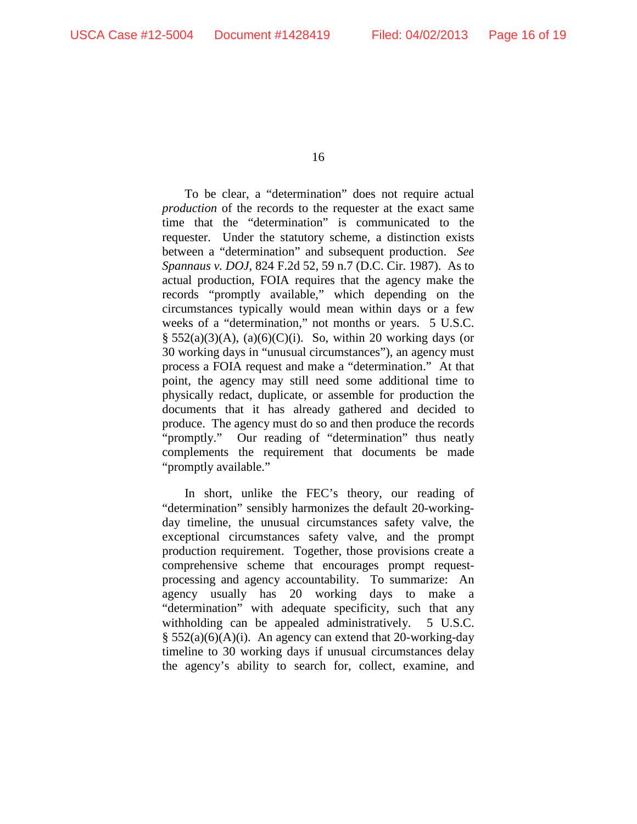To be clear, a "determination" does not require actual *production* of the records to the requester at the exact same time that the "determination" is communicated to the requester. Under the statutory scheme, a distinction exists between a "determination" and subsequent production. *See Spannaus v. DOJ*, 824 F.2d 52, 59 n.7 (D.C. Cir. 1987). As to actual production, FOIA requires that the agency make the records "promptly available," which depending on the circumstances typically would mean within days or a few weeks of a "determination," not months or years. 5 U.S.C.  $\S$  552(a)(3)(A), (a)(6)(C)(i). So, within 20 working days (or 30 working days in "unusual circumstances"), an agency must process a FOIA request and make a "determination." At that point, the agency may still need some additional time to physically redact, duplicate, or assemble for production the documents that it has already gathered and decided to produce. The agency must do so and then produce the records "promptly." Our reading of "determination" thus neatly complements the requirement that documents be made "promptly available."

In short, unlike the FEC's theory, our reading of "determination" sensibly harmonizes the default 20-workingday timeline, the unusual circumstances safety valve, the exceptional circumstances safety valve, and the prompt production requirement. Together, those provisions create a comprehensive scheme that encourages prompt requestprocessing and agency accountability. To summarize: An agency usually has 20 working days to make a "determination" with adequate specificity, such that any withholding can be appealed administratively. 5 U.S.C. § 552(a)(6)(A)(i). An agency can extend that 20-working-day timeline to 30 working days if unusual circumstances delay the agency's ability to search for, collect, examine, and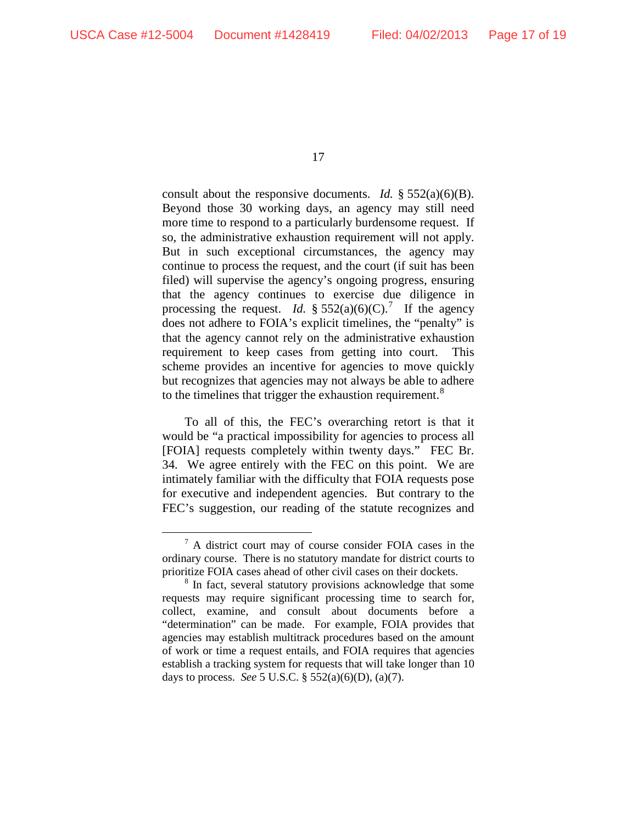consult about the responsive documents. *Id.* § 552(a)(6)(B). Beyond those 30 working days, an agency may still need more time to respond to a particularly burdensome request. If so, the administrative exhaustion requirement will not apply. But in such exceptional circumstances, the agency may continue to process the request, and the court (if suit has been filed) will supervise the agency's ongoing progress, ensuring that the agency continues to exercise due diligence in processing the request. *Id.* §  $552(a)(6)(C)$ .<sup>[7](#page-16-0)</sup> If the agency does not adhere to FOIA's explicit timelines, the "penalty" is that the agency cannot rely on the administrative exhaustion requirement to keep cases from getting into court. This scheme provides an incentive for agencies to move quickly but recognizes that agencies may not always be able to adhere to the timelines that trigger the exhaustion requirement.<sup>[8](#page-16-1)</sup>

To all of this, the FEC's overarching retort is that it would be "a practical impossibility for agencies to process all [FOIA] requests completely within twenty days." FEC Br. 34. We agree entirely with the FEC on this point. We are intimately familiar with the difficulty that FOIA requests pose for executive and independent agencies. But contrary to the FEC's suggestion, our reading of the statute recognizes and

<span id="page-16-0"></span> <sup>7</sup> A district court may of course consider FOIA cases in the ordinary course. There is no statutory mandate for district courts to prioritize FOIA cases ahead of other civil cases on their dockets.

<span id="page-16-1"></span><sup>&</sup>lt;sup>8</sup> In fact, several statutory provisions acknowledge that some requests may require significant processing time to search for, collect, examine, and consult about documents before a "determination" can be made. For example, FOIA provides that agencies may establish multitrack procedures based on the amount of work or time a request entails, and FOIA requires that agencies establish a tracking system for requests that will take longer than 10 days to process. *See* 5 U.S.C. § 552(a)(6)(D), (a)(7).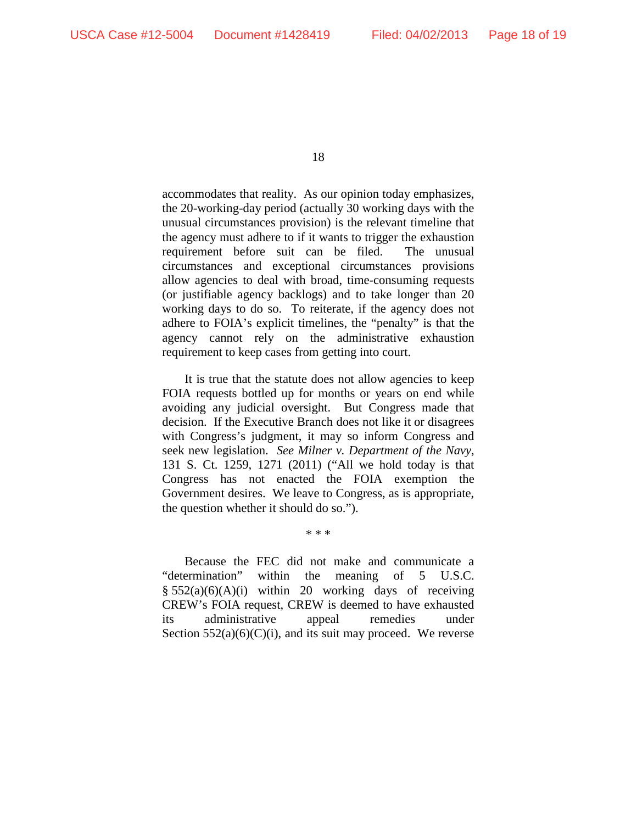accommodates that reality. As our opinion today emphasizes, the 20-working-day period (actually 30 working days with the unusual circumstances provision) is the relevant timeline that the agency must adhere to if it wants to trigger the exhaustion requirement before suit can be filed. The unusual circumstances and exceptional circumstances provisions allow agencies to deal with broad, time-consuming requests (or justifiable agency backlogs) and to take longer than 20 working days to do so. To reiterate, if the agency does not adhere to FOIA's explicit timelines, the "penalty" is that the agency cannot rely on the administrative exhaustion requirement to keep cases from getting into court.

It is true that the statute does not allow agencies to keep FOIA requests bottled up for months or years on end while avoiding any judicial oversight. But Congress made that decision. If the Executive Branch does not like it or disagrees with Congress's judgment, it may so inform Congress and seek new legislation. *See Milner v. Department of the Navy*, 131 S. Ct. 1259, 1271 (2011) ("All we hold today is that Congress has not enacted the FOIA exemption the Government desires. We leave to Congress, as is appropriate, the question whether it should do so.").

Because the FEC did not make and communicate a "determination" within the meaning of 5 U.S.C.  $§ 552(a)(6)(A)(i)$  within 20 working days of receiving CREW's FOIA request, CREW is deemed to have exhausted its administrative appeal remedies under Section  $552(a)(6)(C)(i)$ , and its suit may proceed. We reverse

\* \* \*